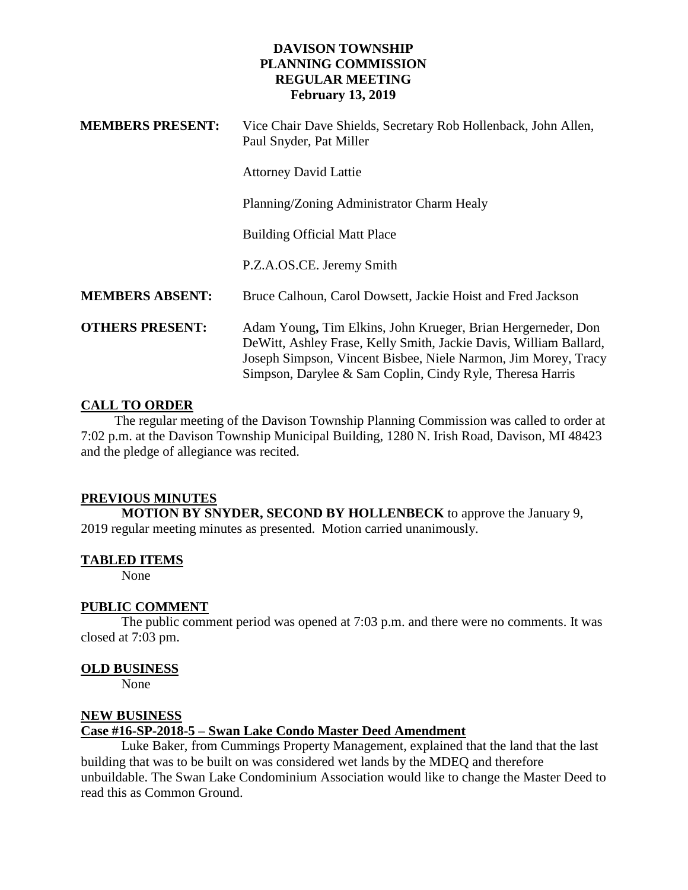# **DAVISON TOWNSHIP PLANNING COMMISSION REGULAR MEETING February 13, 2019**

| <b>MEMBERS PRESENT:</b> | Vice Chair Dave Shields, Secretary Rob Hollenback, John Allen,<br>Paul Snyder, Pat Miller                                                                                                                                                                        |
|-------------------------|------------------------------------------------------------------------------------------------------------------------------------------------------------------------------------------------------------------------------------------------------------------|
|                         | <b>Attorney David Lattie</b>                                                                                                                                                                                                                                     |
|                         | Planning/Zoning Administrator Charm Healy                                                                                                                                                                                                                        |
|                         | <b>Building Official Matt Place</b>                                                                                                                                                                                                                              |
|                         | P.Z.A.OS.CE. Jeremy Smith                                                                                                                                                                                                                                        |
| <b>MEMBERS ABSENT:</b>  | Bruce Calhoun, Carol Dowsett, Jackie Hoist and Fred Jackson                                                                                                                                                                                                      |
| <b>OTHERS PRESENT:</b>  | Adam Young, Tim Elkins, John Krueger, Brian Hergerneder, Don<br>DeWitt, Ashley Frase, Kelly Smith, Jackie Davis, William Ballard,<br>Joseph Simpson, Vincent Bisbee, Niele Narmon, Jim Morey, Tracy<br>Simpson, Darylee & Sam Coplin, Cindy Ryle, Theresa Harris |

# **CALL TO ORDER**

 The regular meeting of the Davison Township Planning Commission was called to order at 7:02 p.m. at the Davison Township Municipal Building, 1280 N. Irish Road, Davison, MI 48423 and the pledge of allegiance was recited.

## **PREVIOUS MINUTES**

**MOTION BY SNYDER, SECOND BY HOLLENBECK** to approve the January 9, 2019 regular meeting minutes as presented. Motion carried unanimously.

## **TABLED ITEMS**

None

# **PUBLIC COMMENT**

The public comment period was opened at 7:03 p.m. and there were no comments. It was closed at 7:03 pm.

## **OLD BUSINESS**

None

## **NEW BUSINESS**

**Case #16-SP-2018-5 – Swan Lake Condo Master Deed Amendment**

Luke Baker, from Cummings Property Management, explained that the land that the last building that was to be built on was considered wet lands by the MDEQ and therefore unbuildable. The Swan Lake Condominium Association would like to change the Master Deed to read this as Common Ground.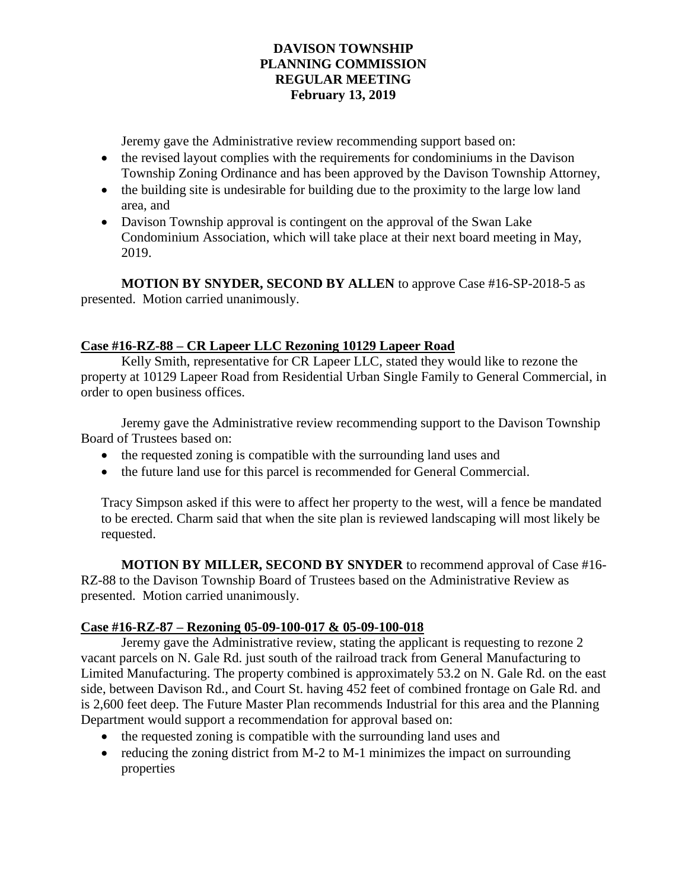# **DAVISON TOWNSHIP PLANNING COMMISSION REGULAR MEETING February 13, 2019**

Jeremy gave the Administrative review recommending support based on:

- the revised layout complies with the requirements for condominiums in the Davison Township Zoning Ordinance and has been approved by the Davison Township Attorney,
- the building site is undesirable for building due to the proximity to the large low land area, and
- Davison Township approval is contingent on the approval of the Swan Lake Condominium Association, which will take place at their next board meeting in May, 2019.

**MOTION BY SNYDER, SECOND BY ALLEN** to approve Case #16-SP-2018-5 as presented. Motion carried unanimously.

# **Case #16-RZ-88 – CR Lapeer LLC Rezoning 10129 Lapeer Road**

Kelly Smith, representative for CR Lapeer LLC, stated they would like to rezone the property at 10129 Lapeer Road from Residential Urban Single Family to General Commercial, in order to open business offices.

Jeremy gave the Administrative review recommending support to the Davison Township Board of Trustees based on:

- the requested zoning is compatible with the surrounding land uses and
- the future land use for this parcel is recommended for General Commercial.

Tracy Simpson asked if this were to affect her property to the west, will a fence be mandated to be erected. Charm said that when the site plan is reviewed landscaping will most likely be requested.

**MOTION BY MILLER, SECOND BY SNYDER** to recommend approval of Case #16- RZ-88 to the Davison Township Board of Trustees based on the Administrative Review as presented. Motion carried unanimously.

# **Case #16-RZ-87 – Rezoning 05-09-100-017 & 05-09-100-018**

Jeremy gave the Administrative review, stating the applicant is requesting to rezone 2 vacant parcels on N. Gale Rd. just south of the railroad track from General Manufacturing to Limited Manufacturing. The property combined is approximately 53.2 on N. Gale Rd. on the east side, between Davison Rd., and Court St. having 452 feet of combined frontage on Gale Rd. and is 2,600 feet deep. The Future Master Plan recommends Industrial for this area and the Planning Department would support a recommendation for approval based on:

- the requested zoning is compatible with the surrounding land uses and
- reducing the zoning district from  $M-2$  to  $M-1$  minimizes the impact on surrounding properties